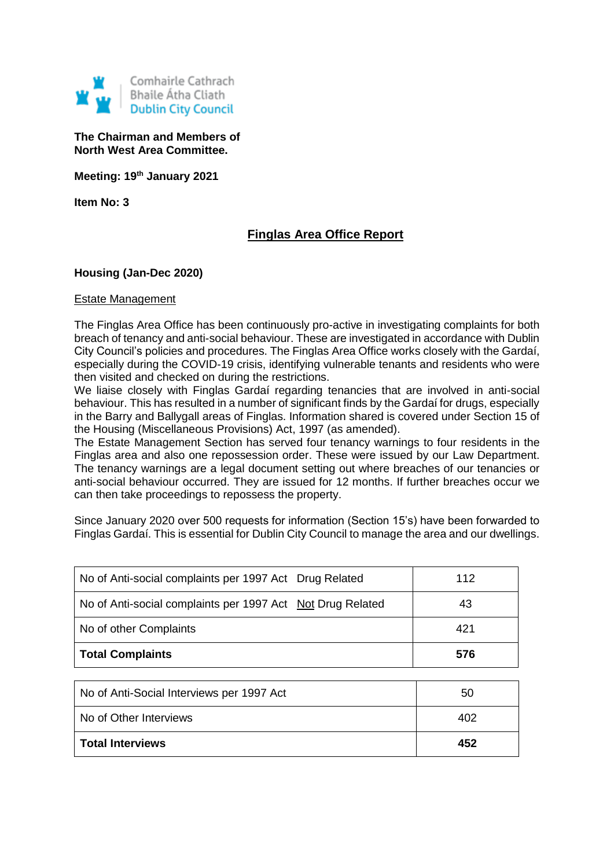

**The Chairman and Members of North West Area Committee.**

**Meeting: 19th January 2021**

**Item No: 3**

# **Finglas Area Office Report**

# **Housing (Jan-Dec 2020)**

#### Estate Management

The Finglas Area Office has been continuously pro-active in investigating complaints for both breach of tenancy and anti-social behaviour. These are investigated in accordance with Dublin City Council's policies and procedures. The Finglas Area Office works closely with the Gardaí, especially during the COVID-19 crisis, identifying vulnerable tenants and residents who were then visited and checked on during the restrictions.

We liaise closely with Finglas Gardaí regarding tenancies that are involved in anti-social behaviour. This has resulted in a number of significant finds by the Gardaí for drugs, especially in the Barry and Ballygall areas of Finglas. Information shared is covered under Section 15 of the Housing (Miscellaneous Provisions) Act, 1997 (as amended).

The Estate Management Section has served four tenancy warnings to four residents in the Finglas area and also one repossession order. These were issued by our Law Department. The tenancy warnings are a legal document setting out where breaches of our tenancies or anti-social behaviour occurred. They are issued for 12 months. If further breaches occur we can then take proceedings to repossess the property.

Since January 2020 over 500 requests for information (Section 15's) have been forwarded to Finglas Gardaí. This is essential for Dublin City Council to manage the area and our dwellings.

| No of Anti-social complaints per 1997 Act Drug Related     | 112 |
|------------------------------------------------------------|-----|
| No of Anti-social complaints per 1997 Act Not Drug Related | 43  |
| No of other Complaints                                     | 421 |
| <b>Total Complaints</b>                                    | 576 |

| <b>Total Interviews</b>                   | 452 |
|-------------------------------------------|-----|
| l No of Other Interviews                  | 402 |
| No of Anti-Social Interviews per 1997 Act | 50  |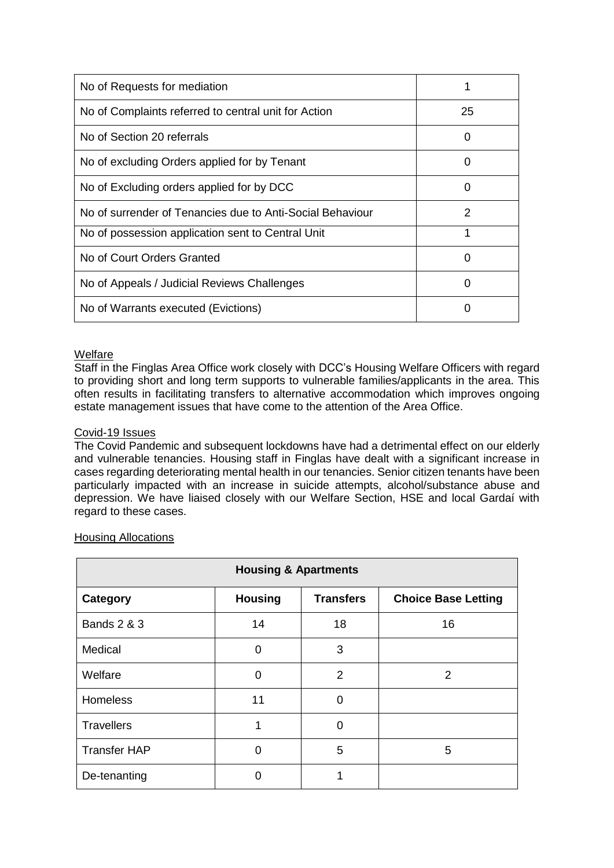| No of Requests for mediation                              |                   |
|-----------------------------------------------------------|-------------------|
| No of Complaints referred to central unit for Action      | 25                |
| No of Section 20 referrals                                |                   |
| No of excluding Orders applied for by Tenant              | $\mathbf{\Omega}$ |
| No of Excluding orders applied for by DCC                 | $\Omega$          |
| No of surrender of Tenancies due to Anti-Social Behaviour | 2                 |
| No of possession application sent to Central Unit         |                   |
| No of Court Orders Granted                                | 0                 |
| No of Appeals / Judicial Reviews Challenges               |                   |
| No of Warrants executed (Evictions)                       |                   |

# Welfare

Staff in the Finglas Area Office work closely with DCC's Housing Welfare Officers with regard to providing short and long term supports to vulnerable families/applicants in the area. This often results in facilitating transfers to alternative accommodation which improves ongoing estate management issues that have come to the attention of the Area Office.

## Covid-19 Issues

The Covid Pandemic and subsequent lockdowns have had a detrimental effect on our elderly and vulnerable tenancies. Housing staff in Finglas have dealt with a significant increase in cases regarding deteriorating mental health in our tenancies. Senior citizen tenants have been particularly impacted with an increase in suicide attempts, alcohol/substance abuse and depression. We have liaised closely with our Welfare Section, HSE and local Gardaí with regard to these cases.

| <b>Housing &amp; Apartments</b> |                |                  |                            |
|---------------------------------|----------------|------------------|----------------------------|
| Category                        | <b>Housing</b> | <b>Transfers</b> | <b>Choice Base Letting</b> |
| <b>Bands 2 &amp; 3</b>          | 14             | 18               | 16                         |
| Medical                         | 0              | 3                |                            |
| Welfare                         | $\Omega$       | 2                | 2                          |
| <b>Homeless</b>                 | 11             | 0                |                            |
| <b>Travellers</b>               | 1              | $\overline{0}$   |                            |
| <b>Transfer HAP</b>             | $\Omega$       | 5                | 5                          |
| De-tenanting                    | O              |                  |                            |

## Housing Allocations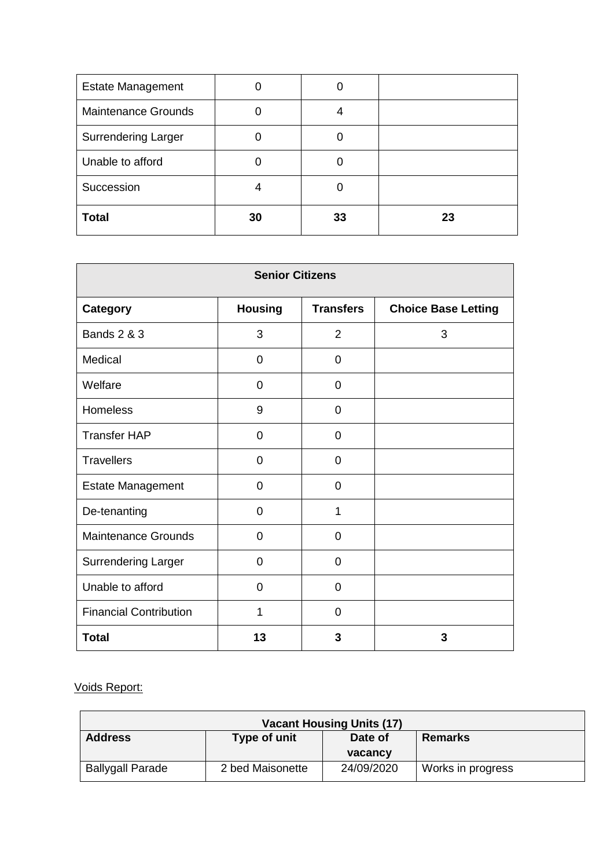| <b>Estate Management</b>   |    |    |    |
|----------------------------|----|----|----|
| <b>Maintenance Grounds</b> |    |    |    |
| <b>Surrendering Larger</b> |    |    |    |
| Unable to afford           |    |    |    |
| Succession                 | 4  |    |    |
| <b>Total</b>               | 30 | 33 | 23 |

| <b>Senior Citizens</b>        |                |                  |                            |
|-------------------------------|----------------|------------------|----------------------------|
| <b>Category</b>               | <b>Housing</b> | <b>Transfers</b> | <b>Choice Base Letting</b> |
| <b>Bands 2 &amp; 3</b>        | 3              | $\overline{2}$   | 3                          |
| Medical                       | $\overline{0}$ | $\overline{0}$   |                            |
| Welfare                       | 0              | $\mathbf 0$      |                            |
| Homeless                      | 9              | 0                |                            |
| <b>Transfer HAP</b>           | 0              | 0                |                            |
| <b>Travellers</b>             | $\overline{0}$ | 0                |                            |
| <b>Estate Management</b>      | $\Omega$       | 0                |                            |
| De-tenanting                  | $\mathbf 0$    | 1                |                            |
| <b>Maintenance Grounds</b>    | $\Omega$       | $\Omega$         |                            |
| <b>Surrendering Larger</b>    | $\overline{0}$ | $\overline{0}$   |                            |
| Unable to afford              | $\Omega$       | $\mathbf 0$      |                            |
| <b>Financial Contribution</b> | 1              | $\overline{0}$   |                            |
| <b>Total</b>                  | 13             | 3                | 3                          |

# Voids Report:

| <b>Vacant Housing Units (17)</b>                            |                  |            |                   |
|-------------------------------------------------------------|------------------|------------|-------------------|
| <b>Address</b><br>Type of unit<br>Date of<br><b>Remarks</b> |                  |            |                   |
| vacancy                                                     |                  |            |                   |
| <b>Ballygall Parade</b>                                     | 2 bed Maisonette | 24/09/2020 | Works in progress |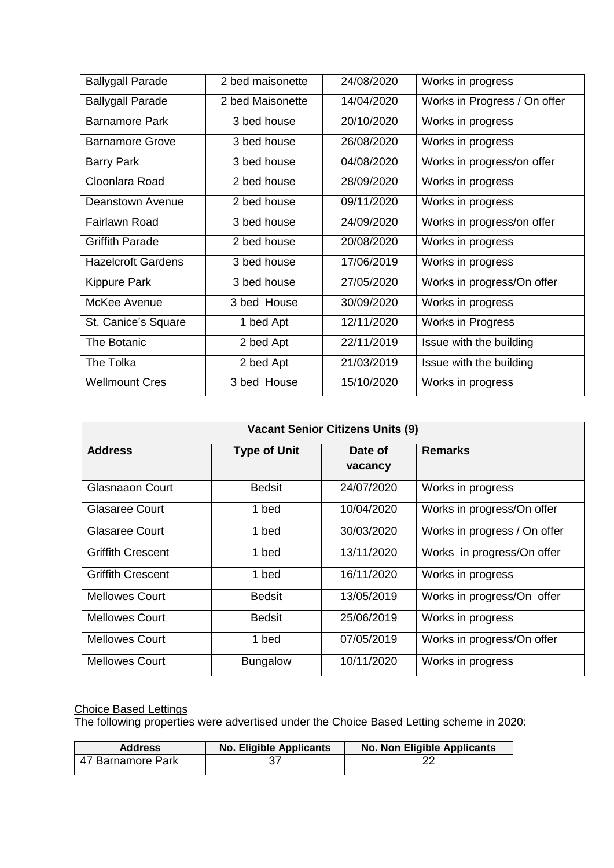| <b>Ballygall Parade</b>   | 2 bed maisonette | 24/08/2020 | Works in progress            |
|---------------------------|------------------|------------|------------------------------|
| <b>Ballygall Parade</b>   | 2 bed Maisonette | 14/04/2020 | Works in Progress / On offer |
| <b>Barnamore Park</b>     | 3 bed house      | 20/10/2020 | Works in progress            |
| <b>Barnamore Grove</b>    | 3 bed house      | 26/08/2020 | Works in progress            |
| <b>Barry Park</b>         | 3 bed house      | 04/08/2020 | Works in progress/on offer   |
| Cloonlara Road            | 2 bed house      | 28/09/2020 | Works in progress            |
| Deanstown Avenue          | 2 bed house      | 09/11/2020 | Works in progress            |
| Fairlawn Road             | 3 bed house      | 24/09/2020 | Works in progress/on offer   |
| <b>Griffith Parade</b>    | 2 bed house      | 20/08/2020 | Works in progress            |
| <b>Hazelcroft Gardens</b> | 3 bed house      | 17/06/2019 | Works in progress            |
| Kippure Park              | 3 bed house      | 27/05/2020 | Works in progress/On offer   |
| McKee Avenue              | 3 bed House      | 30/09/2020 | Works in progress            |
| St. Canice's Square       | 1 bed Apt        | 12/11/2020 | Works in Progress            |
| <b>The Botanic</b>        | 2 bed Apt        | 22/11/2019 | Issue with the building      |
| The Tolka                 | 2 bed Apt        | 21/03/2019 | Issue with the building      |
| <b>Wellmount Cres</b>     | 3 bed House      | 15/10/2020 | Works in progress            |

| <b>Vacant Senior Citizens Units (9)</b> |                     |                    |                              |
|-----------------------------------------|---------------------|--------------------|------------------------------|
| <b>Address</b>                          | <b>Type of Unit</b> | Date of<br>vacancy | <b>Remarks</b>               |
| Glasnaaon Court                         | <b>Bedsit</b>       | 24/07/2020         | Works in progress            |
| <b>Glasaree Court</b>                   | 1 bed               | 10/04/2020         | Works in progress/On offer   |
| Glasaree Court                          | 1 bed               | 30/03/2020         | Works in progress / On offer |
| <b>Griffith Crescent</b>                | 1 bed               | 13/11/2020         | Works in progress/On offer   |
| <b>Griffith Crescent</b>                | 1 bed               | 16/11/2020         | Works in progress            |
| <b>Mellowes Court</b>                   | <b>Bedsit</b>       | 13/05/2019         | Works in progress/On offer   |
| <b>Mellowes Court</b>                   | <b>Bedsit</b>       | 25/06/2019         | Works in progress            |
| <b>Mellowes Court</b>                   | 1 bed               | 07/05/2019         | Works in progress/On offer   |
| <b>Mellowes Court</b>                   | <b>Bungalow</b>     | 10/11/2020         | Works in progress            |

# Choice Based Lettings

The following properties were advertised under the Choice Based Letting scheme in 2020:

| <b>Address</b>    | <b>No. Eligible Applicants</b> | <b>No. Non Eligible Applicants</b> |
|-------------------|--------------------------------|------------------------------------|
| 47 Barnamore Park |                                |                                    |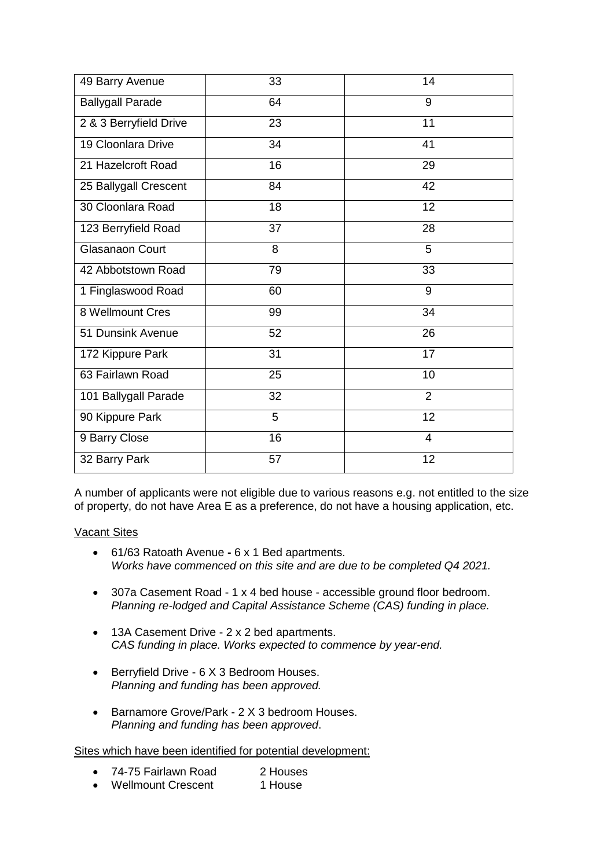| 49 Barry Avenue         | 33 | 14 |
|-------------------------|----|----|
| <b>Ballygall Parade</b> | 64 | 9  |
| 2 & 3 Berryfield Drive  | 23 | 11 |
| 19 Cloonlara Drive      | 34 | 41 |
| 21 Hazelcroft Road      | 16 | 29 |
| 25 Ballygall Crescent   | 84 | 42 |
| 30 Cloonlara Road       | 18 | 12 |
| 123 Berryfield Road     | 37 | 28 |
| Glasanaon Court         | 8  | 5  |
| 42 Abbotstown Road      | 79 | 33 |
| 1 Finglaswood Road      | 60 | 9  |
| 8 Wellmount Cres        | 99 | 34 |
| 51 Dunsink Avenue       | 52 | 26 |
| 172 Kippure Park        | 31 | 17 |
| 63 Fairlawn Road        | 25 | 10 |
| 101 Ballygall Parade    | 32 | 2  |
| 90 Kippure Park         | 5  | 12 |
| 9 Barry Close           | 16 | 4  |
| 32 Barry Park           | 57 | 12 |

A number of applicants were not eligible due to various reasons e.g. not entitled to the size of property, do not have Area E as a preference, do not have a housing application, etc.

# Vacant Sites

- 61/63 Ratoath Avenue **-** 6 x 1 Bed apartments. *Works have commenced on this site and are due to be completed Q4 2021.*
- 307a Casement Road 1 x 4 bed house accessible ground floor bedroom. *Planning re-lodged and Capital Assistance Scheme (CAS) funding in place.*
- 13A Casement Drive 2 x 2 bed apartments. *CAS funding in place. Works expected to commence by year-end.*
- Berryfield Drive 6 X 3 Bedroom Houses. *Planning and funding has been approved.*
- Barnamore Grove/Park 2 X 3 bedroom Houses. *Planning and funding has been approved*.

Sites which have been identified for potential development:

- 74-75 Fairlawn Road 2 Houses
- Wellmount Crescent 1 House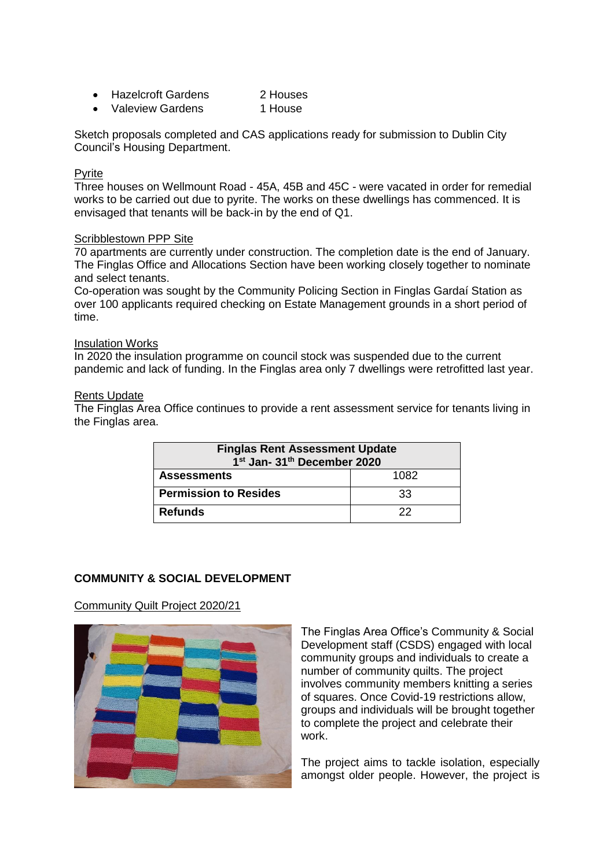| <b>Hazelcroft Gardens</b> | 2 Houses |
|---------------------------|----------|
|                           |          |

• Valeview Gardens 1 House

Sketch proposals completed and CAS applications ready for submission to Dublin City Council's Housing Department.

## **P**vrite

Three houses on Wellmount Road - 45A, 45B and 45C - were vacated in order for remedial works to be carried out due to pyrite. The works on these dwellings has commenced. It is envisaged that tenants will be back-in by the end of Q1.

## Scribblestown PPP Site

70 apartments are currently under construction. The completion date is the end of January. The Finglas Office and Allocations Section have been working closely together to nominate and select tenants.

Co-operation was sought by the Community Policing Section in Finglas Gardaí Station as over 100 applicants required checking on Estate Management grounds in a short period of time.

## Insulation Works

In 2020 the insulation programme on council stock was suspended due to the current pandemic and lack of funding. In the Finglas area only 7 dwellings were retrofitted last year.

## Rents Update

The Finglas Area Office continues to provide a rent assessment service for tenants living in the Finglas area.

| <b>Finglas Rent Assessment Update</b><br>1st Jan- 31th December 2020 |      |
|----------------------------------------------------------------------|------|
| <b>Assessments</b>                                                   | 1082 |
| <b>Permission to Resides</b>                                         | 33   |
| <b>Refunds</b>                                                       | 22   |

# **COMMUNITY & SOCIAL DEVELOPMENT**

Community Quilt Project 2020/21



The Finglas Area Office's Community & Social Development staff (CSDS) engaged with local community groups and individuals to create a number of community quilts. The project involves community members knitting a series of squares. Once Covid-19 restrictions allow, groups and individuals will be brought together to complete the project and celebrate their work.

The project aims to tackle isolation, especially amongst older people. However, the project is